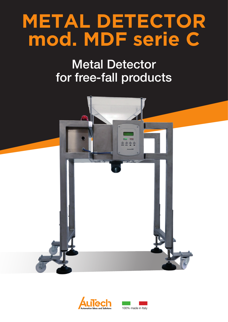## **METAL DETECTOR** mod. MDF serie C

## **Metal Detector** for free-fall products